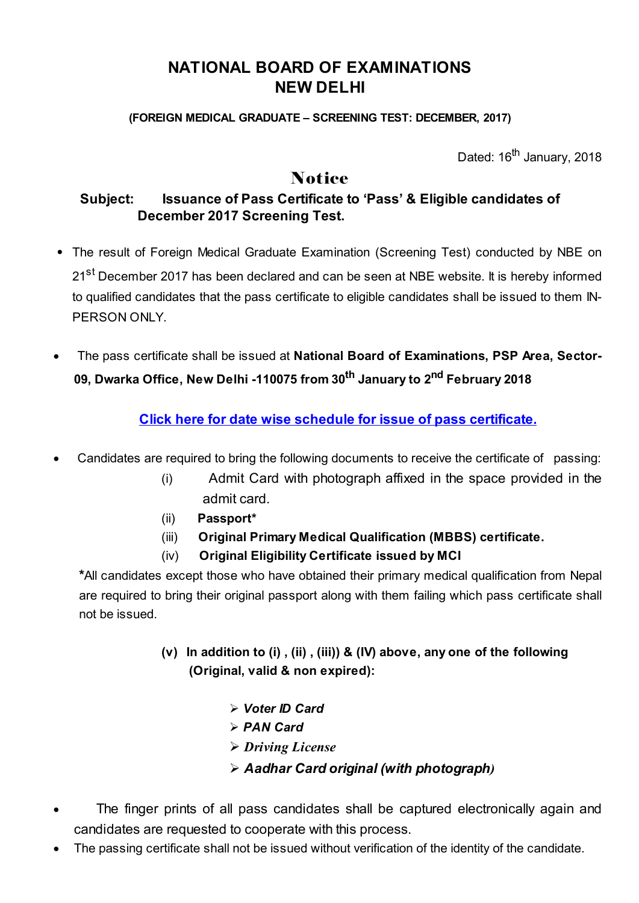## NATIONAL BOARD OF EXAMINATIONS NEW DELHI

(FOREIGN MEDICAL GRADUATE – SCREENING TEST: DECEMBER, 2017)

Dated: 16<sup>th</sup> January, 2018

## **Notice**

## Subject: Issuance of Pass Certificate to 'Pass' & Eligible candidates of December 2017 Screening Test.

- The result of Foreign Medical Graduate Examination (Screening Test) conducted by NBE on 21<sup>st</sup> December 2017 has been declared and can be seen at NBE website. It is hereby informed to qualified candidates that the pass certificate to eligible candidates shall be issued to them IN-PERSON ONLY.
- · The pass certificate shall be issued at National Board of Examinations, PSP Area, Sector-09, Dwarka Office, New Delhi -110075 from 30<sup>th</sup> January to 2<sup>nd</sup> February 2018

Click here for date wise schedule for issue of pass [certificate.](https://results.natboard.edu.in/fmge/dec2017/schedule_search.php)

- Candidates are required to bring the following documents to receive the certificate of passing:
	- (i) Admit Card with photograph affixed in the space provided in the admit card.
	- (ii) Passport\*
	- (iii) Original Primary Medical Qualification (MBBS) certificate.
	- (iv) Original Eligibility Certificate issued by MCI

\*All candidates except those who have obtained their primary medical qualification from Nepal are required to bring their original passport along with them failing which pass certificate shall not be issued.

- (v) In addition to (i) , (ii) , (iii)) & (IV) above, any one of the following (Original, valid & non expired):
	- $\triangleright$  Voter ID Card
	- $\triangleright$  PAN Card
	- Ø *Driving License*
	- Ø Aadhar Card original (with photograph*)*
- The finger prints of all pass candidates shall be captured electronically again and candidates are requested to cooperate with this process.
- The passing certificate shall not be issued without verification of the identity of the candidate.